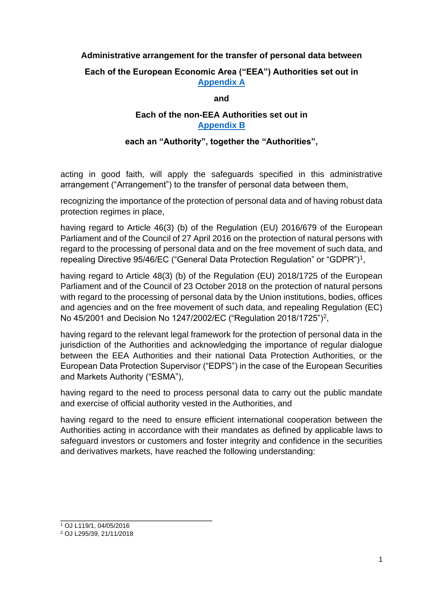### **Administrative arrangement for the transfer of personal data between**

## **Each of the European Economic Area ("EEA") Authorities set out in [Appendix A](https://www.iosco.org/about/?subsection=administrative_arrangement)**

#### **and**

## **Each of the non-EEA Authorities set out in [Appendix B](https://www.iosco.org/about/?subsection=administrative_arrangement)**

#### **each an "Authority", together the "Authorities",**

acting in good faith, will apply the safeguards specified in this administrative arrangement ("Arrangement") to the transfer of personal data between them,

recognizing the importance of the protection of personal data and of having robust data protection regimes in place,

having regard to Article 46(3) (b) of the Regulation (EU) 2016/679 of the European Parliament and of the Council of 27 April 2016 on the protection of natural persons with regard to the processing of personal data and on the free movement of such data, and repealing Directive 95/46/EC ("General Data Protection Regulation" or "GDPR")<sup>1</sup>,

having regard to Article 48(3) (b) of the Regulation (EU) 2018/1725 of the European Parliament and of the Council of 23 October 2018 on the protection of natural persons with regard to the processing of personal data by the Union institutions, bodies, offices and agencies and on the free movement of such data, and repealing Regulation (EC) No 45/2001 and Decision No 1247/2002/EC ("Regulation 2018/1725")<sup>2</sup>,

having regard to the relevant legal framework for the protection of personal data in the jurisdiction of the Authorities and acknowledging the importance of regular dialogue between the EEA Authorities and their national Data Protection Authorities, or the European Data Protection Supervisor ("EDPS") in the case of the European Securities and Markets Authority ("ESMA"),

having regard to the need to process personal data to carry out the public mandate and exercise of official authority vested in the Authorities, and

having regard to the need to ensure efficient international cooperation between the Authorities acting in accordance with their mandates as defined by applicable laws to safeguard investors or customers and foster integrity and confidence in the securities and derivatives markets, have reached the following understanding:

\_\_\_\_\_\_\_\_\_\_\_\_\_\_\_\_\_\_\_\_\_\_\_\_\_\_\_\_\_\_\_\_

<sup>1</sup> OJ L119/1, 04/05/2016

<sup>2</sup> OJ L295/39, 21/11/2018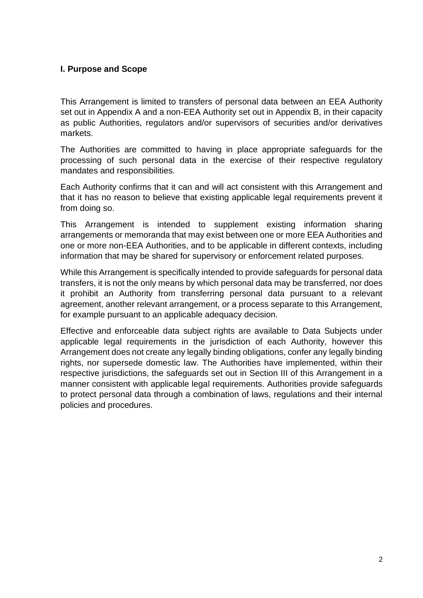## **I. Purpose and Scope**

This Arrangement is limited to transfers of personal data between an EEA Authority set out in Appendix A and a non-EEA Authority set out in Appendix B, in their capacity as public Authorities, regulators and/or supervisors of securities and/or derivatives markets.

The Authorities are committed to having in place appropriate safeguards for the processing of such personal data in the exercise of their respective regulatory mandates and responsibilities.

Each Authority confirms that it can and will act consistent with this Arrangement and that it has no reason to believe that existing applicable legal requirements prevent it from doing so.

This Arrangement is intended to supplement existing information sharing arrangements or memoranda that may exist between one or more EEA Authorities and one or more non-EEA Authorities, and to be applicable in different contexts, including information that may be shared for supervisory or enforcement related purposes.

While this Arrangement is specifically intended to provide safeguards for personal data transfers, it is not the only means by which personal data may be transferred, nor does it prohibit an Authority from transferring personal data pursuant to a relevant agreement, another relevant arrangement, or a process separate to this Arrangement, for example pursuant to an applicable adequacy decision.

Effective and enforceable data subject rights are available to Data Subjects under applicable legal requirements in the jurisdiction of each Authority, however this Arrangement does not create any legally binding obligations, confer any legally binding rights, nor supersede domestic law. The Authorities have implemented, within their respective jurisdictions, the safeguards set out in Section III of this Arrangement in a manner consistent with applicable legal requirements. Authorities provide safeguards to protect personal data through a combination of laws, regulations and their internal policies and procedures.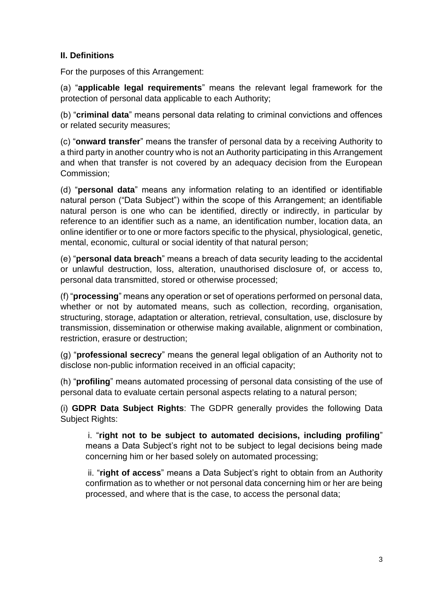# **II. Definitions**

For the purposes of this Arrangement:

(a) "**applicable legal requirements**" means the relevant legal framework for the protection of personal data applicable to each Authority;

(b) "**criminal data**" means personal data relating to criminal convictions and offences or related security measures;

(c) "**onward transfer**" means the transfer of personal data by a receiving Authority to a third party in another country who is not an Authority participating in this Arrangement and when that transfer is not covered by an adequacy decision from the European Commission;

(d) "**personal data**" means any information relating to an identified or identifiable natural person ("Data Subject") within the scope of this Arrangement; an identifiable natural person is one who can be identified, directly or indirectly, in particular by reference to an identifier such as a name, an identification number, location data, an online identifier or to one or more factors specific to the physical, physiological, genetic, mental, economic, cultural or social identity of that natural person;

(e) "**personal data breach**" means a breach of data security leading to the accidental or unlawful destruction, loss, alteration, unauthorised disclosure of, or access to, personal data transmitted, stored or otherwise processed;

(f) "**processing**" means any operation or set of operations performed on personal data, whether or not by automated means, such as collection, recording, organisation, structuring, storage, adaptation or alteration, retrieval, consultation, use, disclosure by transmission, dissemination or otherwise making available, alignment or combination, restriction, erasure or destruction;

(g) "**professional secrecy**" means the general legal obligation of an Authority not to disclose non-public information received in an official capacity;

(h) "**profiling**" means automated processing of personal data consisting of the use of personal data to evaluate certain personal aspects relating to a natural person;

(i) **GDPR Data Subject Rights**: The GDPR generally provides the following Data Subject Rights:

i. "**right not to be subject to automated decisions, including profiling**" means a Data Subject's right not to be subject to legal decisions being made concerning him or her based solely on automated processing;

ii. "**right of access**" means a Data Subject's right to obtain from an Authority confirmation as to whether or not personal data concerning him or her are being processed, and where that is the case, to access the personal data;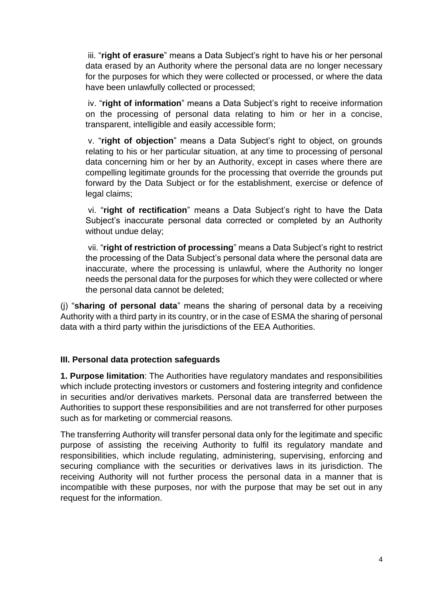iii. "**right of erasure**" means a Data Subject's right to have his or her personal data erased by an Authority where the personal data are no longer necessary for the purposes for which they were collected or processed, or where the data have been unlawfully collected or processed;

iv. "**right of information**" means a Data Subject's right to receive information on the processing of personal data relating to him or her in a concise, transparent, intelligible and easily accessible form;

v. "**right of objection**" means a Data Subject's right to object, on grounds relating to his or her particular situation, at any time to processing of personal data concerning him or her by an Authority, except in cases where there are compelling legitimate grounds for the processing that override the grounds put forward by the Data Subject or for the establishment, exercise or defence of legal claims;

vi. "**right of rectification**" means a Data Subject's right to have the Data Subject's inaccurate personal data corrected or completed by an Authority without undue delay;

vii. "**right of restriction of processing**" means a Data Subject's right to restrict the processing of the Data Subject's personal data where the personal data are inaccurate, where the processing is unlawful, where the Authority no longer needs the personal data for the purposes for which they were collected or where the personal data cannot be deleted;

(j) "**sharing of personal data**" means the sharing of personal data by a receiving Authority with a third party in its country, or in the case of ESMA the sharing of personal data with a third party within the jurisdictions of the EEA Authorities.

## **III. Personal data protection safeguards**

**1. Purpose limitation**: The Authorities have regulatory mandates and responsibilities which include protecting investors or customers and fostering integrity and confidence in securities and/or derivatives markets. Personal data are transferred between the Authorities to support these responsibilities and are not transferred for other purposes such as for marketing or commercial reasons.

The transferring Authority will transfer personal data only for the legitimate and specific purpose of assisting the receiving Authority to fulfil its regulatory mandate and responsibilities, which include regulating, administering, supervising, enforcing and securing compliance with the securities or derivatives laws in its jurisdiction. The receiving Authority will not further process the personal data in a manner that is incompatible with these purposes, nor with the purpose that may be set out in any request for the information.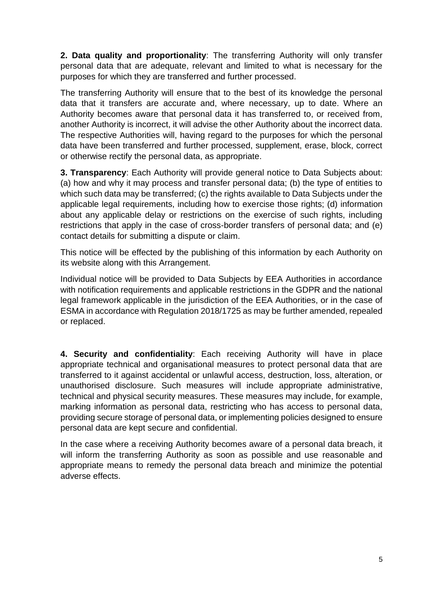**2. Data quality and proportionality**: The transferring Authority will only transfer personal data that are adequate, relevant and limited to what is necessary for the purposes for which they are transferred and further processed.

The transferring Authority will ensure that to the best of its knowledge the personal data that it transfers are accurate and, where necessary, up to date. Where an Authority becomes aware that personal data it has transferred to, or received from, another Authority is incorrect, it will advise the other Authority about the incorrect data. The respective Authorities will, having regard to the purposes for which the personal data have been transferred and further processed, supplement, erase, block, correct or otherwise rectify the personal data, as appropriate.

**3. Transparency**: Each Authority will provide general notice to Data Subjects about: (a) how and why it may process and transfer personal data; (b) the type of entities to which such data may be transferred; (c) the rights available to Data Subjects under the applicable legal requirements, including how to exercise those rights; (d) information about any applicable delay or restrictions on the exercise of such rights, including restrictions that apply in the case of cross-border transfers of personal data; and (e) contact details for submitting a dispute or claim.

This notice will be effected by the publishing of this information by each Authority on its website along with this Arrangement.

Individual notice will be provided to Data Subjects by EEA Authorities in accordance with notification requirements and applicable restrictions in the GDPR and the national legal framework applicable in the jurisdiction of the EEA Authorities, or in the case of ESMA in accordance with Regulation 2018/1725 as may be further amended, repealed or replaced.

**4. Security and confidentiality**: Each receiving Authority will have in place appropriate technical and organisational measures to protect personal data that are transferred to it against accidental or unlawful access, destruction, loss, alteration, or unauthorised disclosure. Such measures will include appropriate administrative, technical and physical security measures. These measures may include, for example, marking information as personal data, restricting who has access to personal data, providing secure storage of personal data, or implementing policies designed to ensure personal data are kept secure and confidential.

In the case where a receiving Authority becomes aware of a personal data breach, it will inform the transferring Authority as soon as possible and use reasonable and appropriate means to remedy the personal data breach and minimize the potential adverse effects.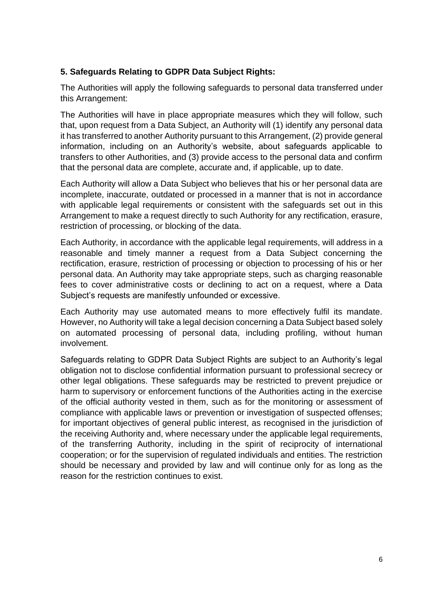# **5. Safeguards Relating to GDPR Data Subject Rights:**

The Authorities will apply the following safeguards to personal data transferred under this Arrangement:

The Authorities will have in place appropriate measures which they will follow, such that, upon request from a Data Subject, an Authority will (1) identify any personal data it has transferred to another Authority pursuant to this Arrangement, (2) provide general information, including on an Authority's website, about safeguards applicable to transfers to other Authorities, and (3) provide access to the personal data and confirm that the personal data are complete, accurate and, if applicable, up to date.

Each Authority will allow a Data Subject who believes that his or her personal data are incomplete, inaccurate, outdated or processed in a manner that is not in accordance with applicable legal requirements or consistent with the safeguards set out in this Arrangement to make a request directly to such Authority for any rectification, erasure, restriction of processing, or blocking of the data.

Each Authority, in accordance with the applicable legal requirements, will address in a reasonable and timely manner a request from a Data Subject concerning the rectification, erasure, restriction of processing or objection to processing of his or her personal data. An Authority may take appropriate steps, such as charging reasonable fees to cover administrative costs or declining to act on a request, where a Data Subject's requests are manifestly unfounded or excessive.

Each Authority may use automated means to more effectively fulfil its mandate. However, no Authority will take a legal decision concerning a Data Subject based solely on automated processing of personal data, including profiling, without human involvement.

Safeguards relating to GDPR Data Subject Rights are subject to an Authority's legal obligation not to disclose confidential information pursuant to professional secrecy or other legal obligations. These safeguards may be restricted to prevent prejudice or harm to supervisory or enforcement functions of the Authorities acting in the exercise of the official authority vested in them, such as for the monitoring or assessment of compliance with applicable laws or prevention or investigation of suspected offenses; for important objectives of general public interest, as recognised in the jurisdiction of the receiving Authority and, where necessary under the applicable legal requirements, of the transferring Authority, including in the spirit of reciprocity of international cooperation; or for the supervision of regulated individuals and entities. The restriction should be necessary and provided by law and will continue only for as long as the reason for the restriction continues to exist.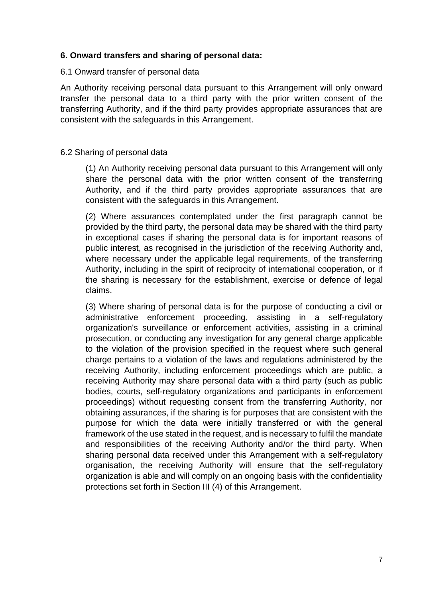### **6. Onward transfers and sharing of personal data:**

#### 6.1 Onward transfer of personal data

An Authority receiving personal data pursuant to this Arrangement will only onward transfer the personal data to a third party with the prior written consent of the transferring Authority, and if the third party provides appropriate assurances that are consistent with the safeguards in this Arrangement.

#### 6.2 Sharing of personal data

(1) An Authority receiving personal data pursuant to this Arrangement will only share the personal data with the prior written consent of the transferring Authority, and if the third party provides appropriate assurances that are consistent with the safeguards in this Arrangement.

(2) Where assurances contemplated under the first paragraph cannot be provided by the third party, the personal data may be shared with the third party in exceptional cases if sharing the personal data is for important reasons of public interest, as recognised in the jurisdiction of the receiving Authority and, where necessary under the applicable legal requirements, of the transferring Authority, including in the spirit of reciprocity of international cooperation, or if the sharing is necessary for the establishment, exercise or defence of legal claims.

(3) Where sharing of personal data is for the purpose of conducting a civil or administrative enforcement proceeding, assisting in a self-regulatory organization's surveillance or enforcement activities, assisting in a criminal prosecution, or conducting any investigation for any general charge applicable to the violation of the provision specified in the request where such general charge pertains to a violation of the laws and regulations administered by the receiving Authority, including enforcement proceedings which are public, a receiving Authority may share personal data with a third party (such as public bodies, courts, self-regulatory organizations and participants in enforcement proceedings) without requesting consent from the transferring Authority, nor obtaining assurances, if the sharing is for purposes that are consistent with the purpose for which the data were initially transferred or with the general framework of the use stated in the request, and is necessary to fulfil the mandate and responsibilities of the receiving Authority and/or the third party. When sharing personal data received under this Arrangement with a self-regulatory organisation, the receiving Authority will ensure that the self-regulatory organization is able and will comply on an ongoing basis with the confidentiality protections set forth in Section III (4) of this Arrangement.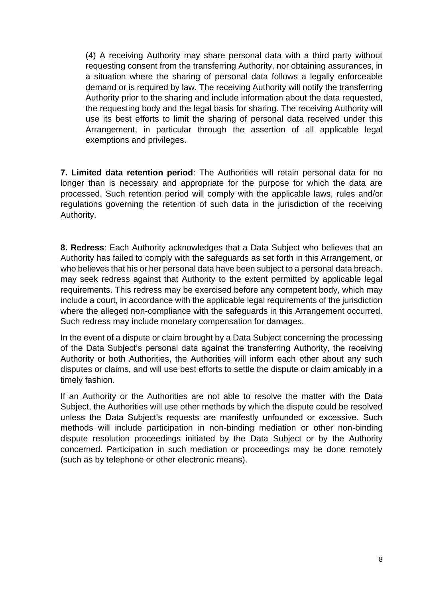(4) A receiving Authority may share personal data with a third party without requesting consent from the transferring Authority, nor obtaining assurances, in a situation where the sharing of personal data follows a legally enforceable demand or is required by law. The receiving Authority will notify the transferring Authority prior to the sharing and include information about the data requested, the requesting body and the legal basis for sharing. The receiving Authority will use its best efforts to limit the sharing of personal data received under this Arrangement, in particular through the assertion of all applicable legal exemptions and privileges.

**7. Limited data retention period**: The Authorities will retain personal data for no longer than is necessary and appropriate for the purpose for which the data are processed. Such retention period will comply with the applicable laws, rules and/or regulations governing the retention of such data in the jurisdiction of the receiving Authority.

**8. Redress**: Each Authority acknowledges that a Data Subject who believes that an Authority has failed to comply with the safeguards as set forth in this Arrangement, or who believes that his or her personal data have been subject to a personal data breach, may seek redress against that Authority to the extent permitted by applicable legal requirements. This redress may be exercised before any competent body, which may include a court, in accordance with the applicable legal requirements of the jurisdiction where the alleged non-compliance with the safeguards in this Arrangement occurred. Such redress may include monetary compensation for damages.

In the event of a dispute or claim brought by a Data Subject concerning the processing of the Data Subject's personal data against the transferring Authority, the receiving Authority or both Authorities, the Authorities will inform each other about any such disputes or claims, and will use best efforts to settle the dispute or claim amicably in a timely fashion.

If an Authority or the Authorities are not able to resolve the matter with the Data Subject, the Authorities will use other methods by which the dispute could be resolved unless the Data Subject's requests are manifestly unfounded or excessive. Such methods will include participation in non-binding mediation or other non-binding dispute resolution proceedings initiated by the Data Subject or by the Authority concerned. Participation in such mediation or proceedings may be done remotely (such as by telephone or other electronic means).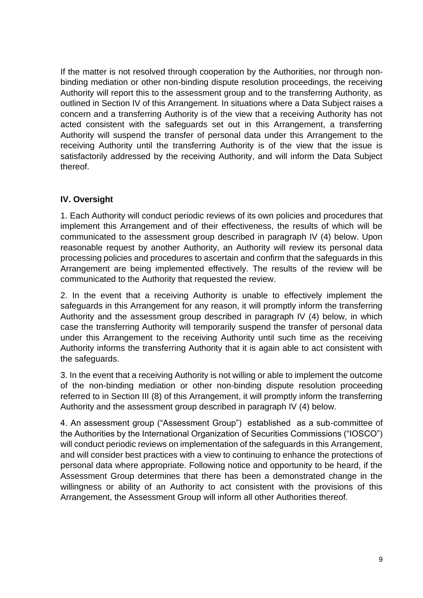If the matter is not resolved through cooperation by the Authorities, nor through nonbinding mediation or other non-binding dispute resolution proceedings, the receiving Authority will report this to the assessment group and to the transferring Authority, as outlined in Section IV of this Arrangement. In situations where a Data Subject raises a concern and a transferring Authority is of the view that a receiving Authority has not acted consistent with the safeguards set out in this Arrangement, a transferring Authority will suspend the transfer of personal data under this Arrangement to the receiving Authority until the transferring Authority is of the view that the issue is satisfactorily addressed by the receiving Authority, and will inform the Data Subject thereof.

# **IV. Oversight**

1. Each Authority will conduct periodic reviews of its own policies and procedures that implement this Arrangement and of their effectiveness, the results of which will be communicated to the assessment group described in paragraph IV (4) below. Upon reasonable request by another Authority, an Authority will review its personal data processing policies and procedures to ascertain and confirm that the safeguards in this Arrangement are being implemented effectively. The results of the review will be communicated to the Authority that requested the review.

2. In the event that a receiving Authority is unable to effectively implement the safeguards in this Arrangement for any reason, it will promptly inform the transferring Authority and the assessment group described in paragraph IV (4) below, in which case the transferring Authority will temporarily suspend the transfer of personal data under this Arrangement to the receiving Authority until such time as the receiving Authority informs the transferring Authority that it is again able to act consistent with the safeguards.

3. In the event that a receiving Authority is not willing or able to implement the outcome of the non-binding mediation or other non-binding dispute resolution proceeding referred to in Section III (8) of this Arrangement, it will promptly inform the transferring Authority and the assessment group described in paragraph IV (4) below.

4. An assessment group ("Assessment Group") established as a sub-committee of the Authorities by the International Organization of Securities Commissions ("IOSCO") will conduct periodic reviews on implementation of the safeguards in this Arrangement, and will consider best practices with a view to continuing to enhance the protections of personal data where appropriate. Following notice and opportunity to be heard, if the Assessment Group determines that there has been a demonstrated change in the willingness or ability of an Authority to act consistent with the provisions of this Arrangement, the Assessment Group will inform all other Authorities thereof.